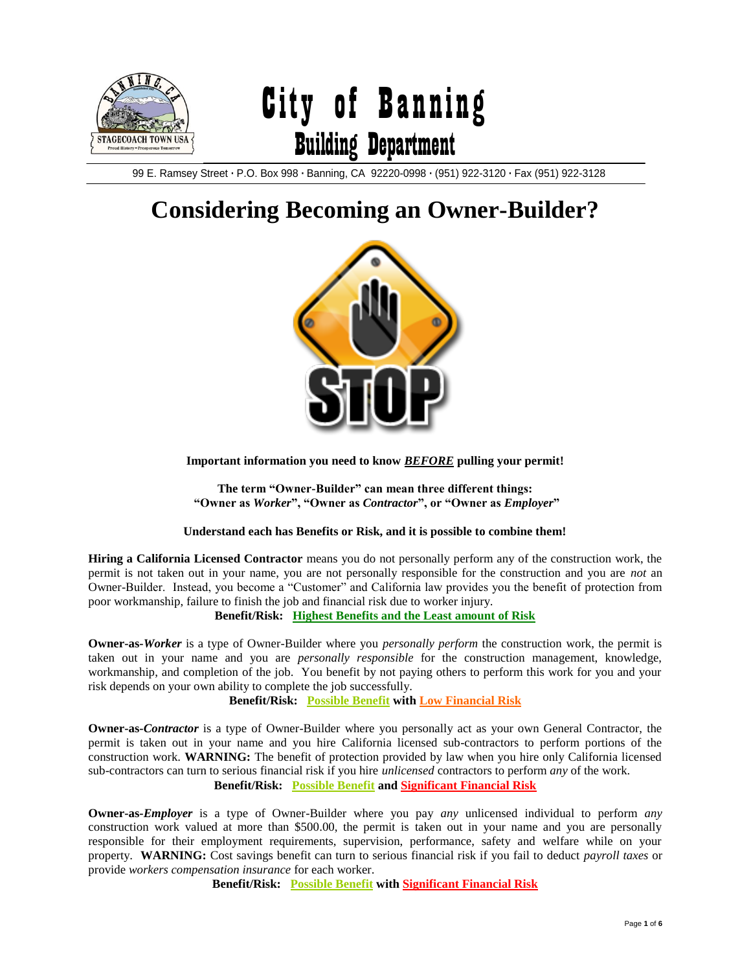

# City of Banning Building Department

99 E. Ramsey Street **·** P.O. Box 998 **·** Banning, CA 92220-0998 **·** (951) 922-3120 **·** Fax (951) 922-3128

# **Considering Becoming an Owner-Builder?**



**Important information you need to know** *BEFORE* **pulling your permit!**

**The term "Owner-Builder" can mean three different things: "Owner as** *Worker***", "Owner as** *Contractor***", or "Owner as** *Employer***"**

### **Understand each has Benefits or Risk, and it is possible to combine them!**

**Hiring a California Licensed Contractor** means you do not personally perform any of the construction work, the permit is not taken out in your name, you are not personally responsible for the construction and you are *not* an Owner-Builder. Instead, you become a "Customer" and California law provides you the benefit of protection from poor workmanship, failure to finish the job and financial risk due to worker injury.

**Benefit/Risk: Highest Benefits and the Least amount of Risk**

**Owner-as-***Worker* is a type of Owner-Builder where you *personally perform* the construction work, the permit is taken out in your name and you are *personally responsible* for the construction management, knowledge, workmanship, and completion of the job. You benefit by not paying others to perform this work for you and your risk depends on your own ability to complete the job successfully.

**Benefit/Risk: Possible Benefit with Low Financial Risk**

**Owner-as-***Contractor* is a type of Owner-Builder where you personally act as your own General Contractor, the permit is taken out in your name and you hire California licensed sub-contractors to perform portions of the construction work. **WARNING:** The benefit of protection provided by law when you hire only California licensed sub-contractors can turn to serious financial risk if you hire *unlicensed* contractors to perform *any* of the work. **Benefit/Risk: Possible Benefit and Significant Financial Risk**

**Owner-as-***Employer* is a type of Owner-Builder where you pay *any* unlicensed individual to perform *any* construction work valued at more than \$500.00, the permit is taken out in your name and you are personally responsible for their employment requirements, supervision, performance, safety and welfare while on your property. **WARNING:** Cost savings benefit can turn to serious financial risk if you fail to deduct *payroll taxes* or provide *workers compensation insurance* for each worker.

**Benefit/Risk: Possible Benefit with Significant Financial Risk**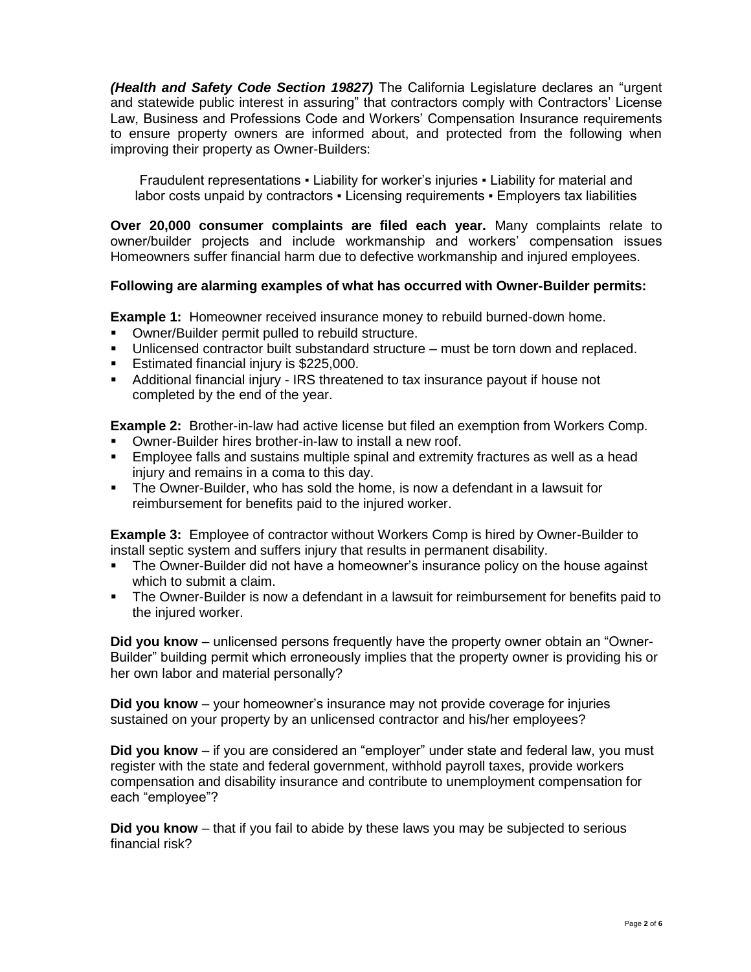*(Health and Safety Code Section 19827)* The California Legislature declares an "urgent and statewide public interest in assuring" that contractors comply with Contractors' License Law, Business and Professions Code and Workers' Compensation Insurance requirements to ensure property owners are informed about, and protected from the following when improving their property as Owner-Builders:

Fraudulent representations ▪ Liability for worker's injuries ▪ Liability for material and labor costs unpaid by contractors · Licensing requirements · Employers tax liabilities

**Over 20,000 consumer complaints are filed each year.** Many complaints relate to owner/builder projects and include workmanship and workers' compensation issues Homeowners suffer financial harm due to defective workmanship and injured employees.

### **Following are alarming examples of what has occurred with Owner-Builder permits:**

**Example 1:** Homeowner received insurance money to rebuild burned-down home.

- Owner/Builder permit pulled to rebuild structure.
- Unlicensed contractor built substandard structure must be torn down and replaced.
- **Estimated financial injury is \$225,000.**
- Additional financial injury IRS threatened to tax insurance payout if house not completed by the end of the year.

**Example 2:** Brother-in-law had active license but filed an exemption from Workers Comp.

- Owner-Builder hires brother-in-law to install a new roof.
- Employee falls and sustains multiple spinal and extremity fractures as well as a head injury and remains in a coma to this day.
- The Owner-Builder, who has sold the home, is now a defendant in a lawsuit for reimbursement for benefits paid to the injured worker.

**Example 3:** Employee of contractor without Workers Comp is hired by Owner-Builder to install septic system and suffers injury that results in permanent disability.

- The Owner-Builder did not have a homeowner's insurance policy on the house against which to submit a claim.
- The Owner-Builder is now a defendant in a lawsuit for reimbursement for benefits paid to the injured worker.

**Did you know** – unlicensed persons frequently have the property owner obtain an "Owner-Builder" building permit which erroneously implies that the property owner is providing his or her own labor and material personally?

**Did you know** – your homeowner's insurance may not provide coverage for injuries sustained on your property by an unlicensed contractor and his/her employees?

**Did you know** – if you are considered an "employer" under state and federal law, you must register with the state and federal government, withhold payroll taxes, provide workers compensation and disability insurance and contribute to unemployment compensation for each "employee"?

**Did you know** – that if you fail to abide by these laws you may be subjected to serious financial risk?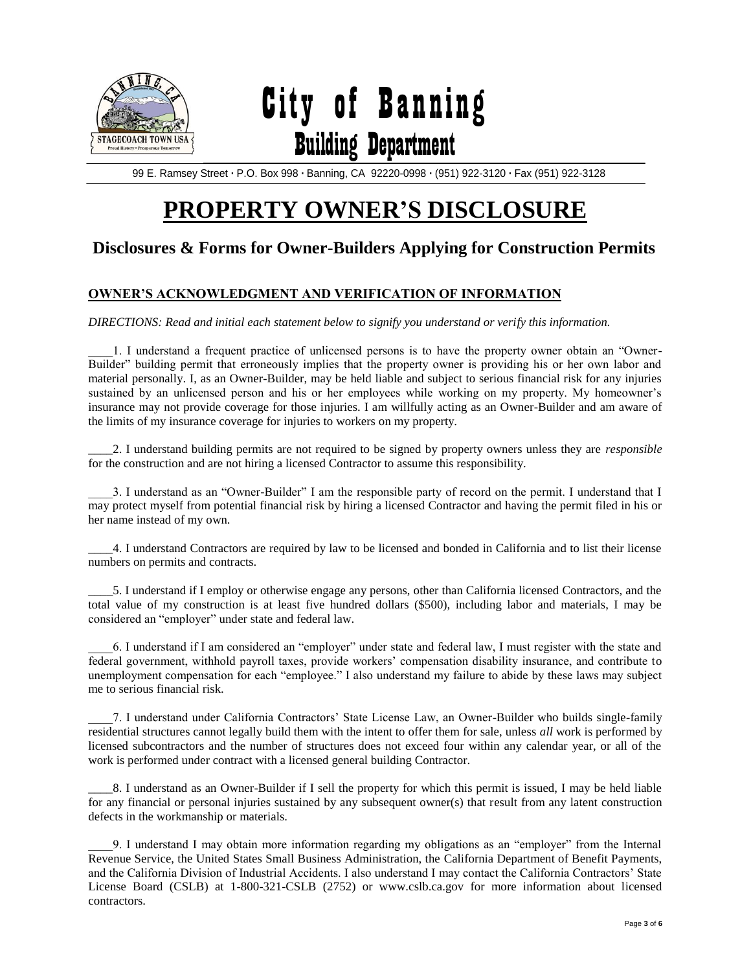

City of Banning Building Department

99 E. Ramsey Street **·** P.O. Box 998 **·** Banning, CA 92220-0998 **·** (951) 922-3120 **·** Fax (951) 922-3128

# **PROPERTY OWNER'S DISCLOSURE**

# **Disclosures & Forms for Owner-Builders Applying for Construction Permits**

# **OWNER'S ACKNOWLEDGMENT AND VERIFICATION OF INFORMATION**

*DIRECTIONS: Read and initial each statement below to signify you understand or verify this information.*

\_\_\_\_1. I understand a frequent practice of unlicensed persons is to have the property owner obtain an "Owner-Builder" building permit that erroneously implies that the property owner is providing his or her own labor and material personally. I, as an Owner-Builder, may be held liable and subject to serious financial risk for any injuries sustained by an unlicensed person and his or her employees while working on my property. My homeowner's insurance may not provide coverage for those injuries. I am willfully acting as an Owner-Builder and am aware of the limits of my insurance coverage for injuries to workers on my property.

\_\_\_\_2. I understand building permits are not required to be signed by property owners unless they are *responsible*  for the construction and are not hiring a licensed Contractor to assume this responsibility.

\_\_\_\_3. I understand as an "Owner-Builder" I am the responsible party of record on the permit. I understand that I may protect myself from potential financial risk by hiring a licensed Contractor and having the permit filed in his or her name instead of my own.

\_\_\_\_4. I understand Contractors are required by law to be licensed and bonded in California and to list their license numbers on permits and contracts.

\_\_\_\_5. I understand if I employ or otherwise engage any persons, other than California licensed Contractors, and the total value of my construction is at least five hundred dollars (\$500), including labor and materials, I may be considered an "employer" under state and federal law.

\_\_\_\_6. I understand if I am considered an "employer" under state and federal law, I must register with the state and federal government, withhold payroll taxes, provide workers' compensation disability insurance, and contribute to unemployment compensation for each "employee." I also understand my failure to abide by these laws may subject me to serious financial risk.

\_\_\_\_7. I understand under California Contractors' State License Law, an Owner-Builder who builds single-family residential structures cannot legally build them with the intent to offer them for sale, unless *all* work is performed by licensed subcontractors and the number of structures does not exceed four within any calendar year, or all of the work is performed under contract with a licensed general building Contractor.

\_\_\_\_8. I understand as an Owner-Builder if I sell the property for which this permit is issued, I may be held liable for any financial or personal injuries sustained by any subsequent owner(s) that result from any latent construction defects in the workmanship or materials.

\_\_\_\_9. I understand I may obtain more information regarding my obligations as an "employer" from the Internal Revenue Service, the United States Small Business Administration, the California Department of Benefit Payments, and the California Division of Industrial Accidents. I also understand I may contact the California Contractors' State License Board (CSLB) at 1-800-321-CSLB (2752) or www.cslb.ca.gov for more information about licensed contractors.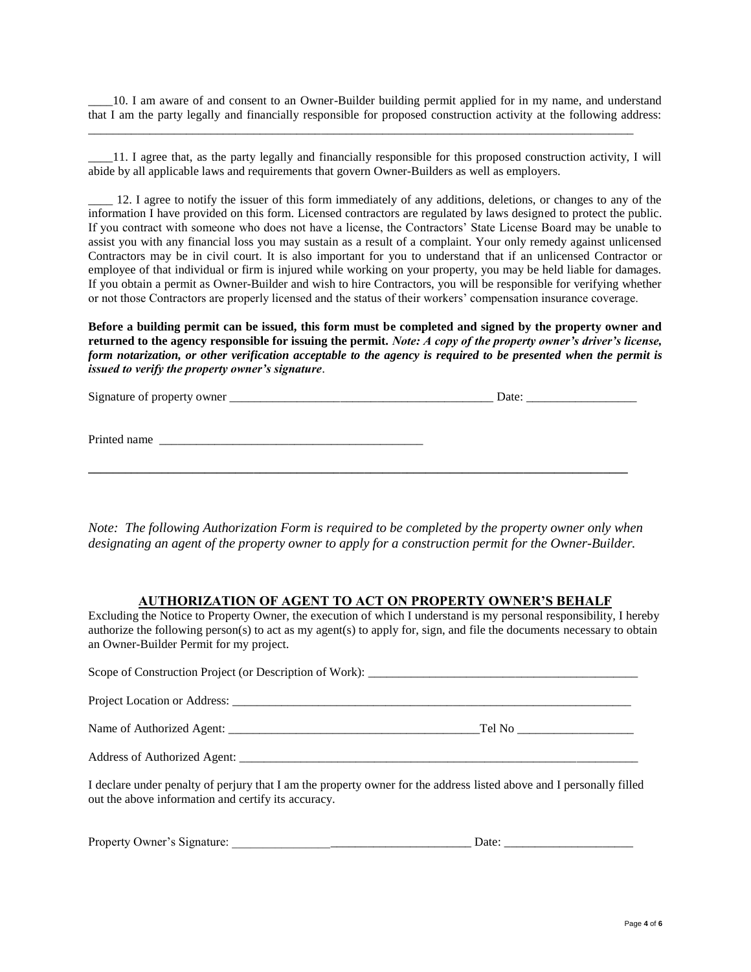\_\_\_\_10. I am aware of and consent to an Owner-Builder building permit applied for in my name, and understand that I am the party legally and financially responsible for proposed construction activity at the following address:

\_\_\_\_\_\_\_\_\_\_\_\_\_\_\_\_\_\_\_\_\_\_\_\_\_\_\_\_\_\_\_\_\_\_\_\_\_\_\_\_\_\_\_\_\_\_\_\_\_\_\_\_\_\_\_\_\_\_\_\_\_\_\_\_\_\_\_\_\_\_\_\_\_\_\_\_\_\_\_\_\_\_\_\_\_\_\_\_\_

\_\_\_\_11. I agree that, as the party legally and financially responsible for this proposed construction activity, I will abide by all applicable laws and requirements that govern Owner-Builders as well as employers.

\_\_\_\_ 12. I agree to notify the issuer of this form immediately of any additions, deletions, or changes to any of the information I have provided on this form. Licensed contractors are regulated by laws designed to protect the public. If you contract with someone who does not have a license, the Contractors' State License Board may be unable to assist you with any financial loss you may sustain as a result of a complaint. Your only remedy against unlicensed Contractors may be in civil court. It is also important for you to understand that if an unlicensed Contractor or employee of that individual or firm is injured while working on your property, you may be held liable for damages. If you obtain a permit as Owner-Builder and wish to hire Contractors, you will be responsible for verifying whether or not those Contractors are properly licensed and the status of their workers' compensation insurance coverage.

**Before a building permit can be issued, this form must be completed and signed by the property owner and returned to the agency responsible for issuing the permit.** *Note: A copy of the property owner's driver's license, form notarization, or other verification acceptable to the agency is required to be presented when the permit is issued to verify the property owner's signature*.

| Signature of property owner | Date: |
|-----------------------------|-------|
|                             |       |
|                             |       |
| Printed name                |       |

**\_\_\_\_\_\_\_\_\_\_\_\_\_\_\_\_\_\_\_\_\_\_\_\_\_\_\_\_\_\_\_\_\_\_\_\_\_\_\_\_\_\_\_\_\_\_\_\_\_\_\_\_\_\_\_\_\_\_\_\_\_\_\_\_\_\_\_\_\_\_\_\_\_\_\_\_\_\_\_\_\_\_\_\_\_\_\_\_**

*Note: The following Authorization Form is required to be completed by the property owner only when designating an agent of the property owner to apply for a construction permit for the Owner-Builder.*

# **AUTHORIZATION OF AGENT TO ACT ON PROPERTY OWNER'S BEHALF**

Excluding the Notice to Property Owner, the execution of which I understand is my personal responsibility, I hereby authorize the following person(s) to act as my agent(s) to apply for, sign, and file the documents necessary to obtain an Owner-Builder Permit for my project.

| I declare under penalty of perjury that I am the property owner for the address listed above and I personally filled<br>out the above information and certify its accuracy. |  |
|-----------------------------------------------------------------------------------------------------------------------------------------------------------------------------|--|

| Jate<br>nei<br>.19<br>J M<br>$\mathbf{v}$<br>$\epsilon$ . $\sigma$<br>.<br>$-1$ | $P$ ronen. |  |  |
|---------------------------------------------------------------------------------|------------|--|--|
|---------------------------------------------------------------------------------|------------|--|--|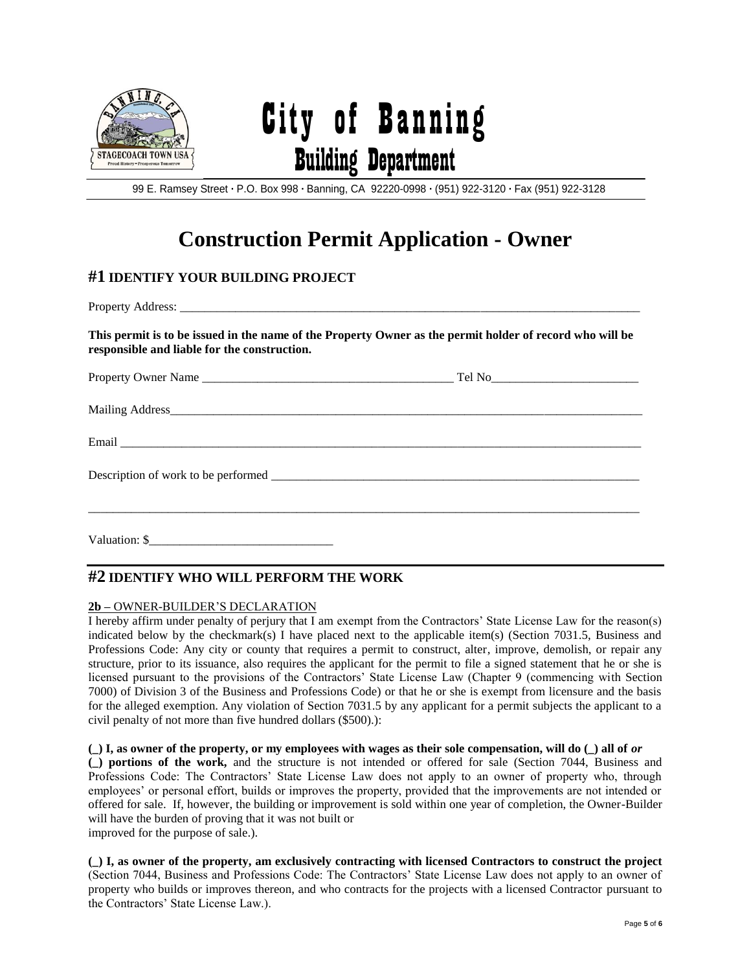

City of Banning Building Department

99 E. Ramsey Street **·** P.O. Box 998 **·** Banning, CA 92220-0998 **·** (951) 922-3120 **·** Fax (951) 922-3128

# **Construction Permit Application - Owner**

# **#1 IDENTIFY YOUR BUILDING PROJECT**

Property Address:

**This permit is to be issued in the name of the Property Owner as the permit holder of record who will be responsible and liable for the construction.**

| and the state of the state of the state of the state of the state of the state of the state of the |  |
|----------------------------------------------------------------------------------------------------|--|
|                                                                                                    |  |

# **#2 IDENTIFY WHO WILL PERFORM THE WORK**

#### **2b –** OWNER-BUILDER'S DECLARATION

I hereby affirm under penalty of perjury that I am exempt from the Contractors' State License Law for the reason(s) indicated below by the checkmark(s) I have placed next to the applicable item(s) (Section 7031.5, Business and Professions Code: Any city or county that requires a permit to construct, alter, improve, demolish, or repair any structure, prior to its issuance, also requires the applicant for the permit to file a signed statement that he or she is licensed pursuant to the provisions of the Contractors' State License Law (Chapter 9 (commencing with Section 7000) of Division 3 of the Business and Professions Code) or that he or she is exempt from licensure and the basis for the alleged exemption. Any violation of Section 7031.5 by any applicant for a permit subjects the applicant to a civil penalty of not more than five hundred dollars (\$500).):

#### **(\_) I, as owner of the property, or my employees with wages as their sole compensation, will do (\_) all of** *or*

**(\_) portions of the work,** and the structure is not intended or offered for sale (Section 7044, Business and Professions Code: The Contractors' State License Law does not apply to an owner of property who, through employees' or personal effort, builds or improves the property, provided that the improvements are not intended or offered for sale. If, however, the building or improvement is sold within one year of completion, the Owner-Builder will have the burden of proving that it was not built or

improved for the purpose of sale.).

**(\_) I, as owner of the property, am exclusively contracting with licensed Contractors to construct the project** (Section 7044, Business and Professions Code: The Contractors' State License Law does not apply to an owner of property who builds or improves thereon, and who contracts for the projects with a licensed Contractor pursuant to the Contractors' State License Law.).